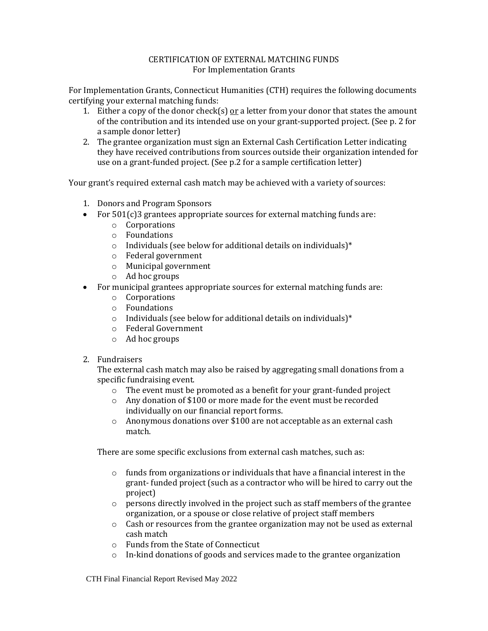## CERTIFICATION OF EXTERNAL MATCHING FUNDS For Implementation Grants

For Implementation Grants, Connecticut Humanities (CTH) requires the following documents certifying your external matching funds:

- 1. Either a copy of the donor check(s)  $or$  a letter from your donor that states the amount</u> of the contribution and its intended use on your grant-supported project. (See p. 2 for a sample donor letter)
- 2. The grantee organization must sign an External Cash Certification Letter indicating they have received contributions from sources outside their organization intended for use on a grant-funded project. (See p.2 for a sample certification letter)

Your grant's required external cash match may be achieved with a variety of sources:

- 1. Donors and Program Sponsors
- For 501(c)3 grantees appropriate sources for external matching funds are:
	- o Corporations
	- o Foundations
	- o Individuals (see below for additional details on individuals)\*
	- o Federal government
	- o Municipal government
	- o Ad hoc groups
- For municipal grantees appropriate sources for external matching funds are:
	- o Corporations
	- o Foundations
	- o Individuals (see below for additional details on individuals)\*
	- o Federal Government
	- o Ad hoc groups
- 2. Fundraisers

The external cash match may also be raised by aggregating small donations from a specific fundraising event.

- o The event must be promoted as a benefit for your grant-funded project
- o Any donation of \$100 or more made for the event must be recorded individually on our financial report forms.
- o Anonymous donations over \$100 are not acceptable as an external cash match.

There are some specific exclusions from external cash matches, such as:

- o funds from organizations or individuals that have a financial interest in the grant- funded project (such as a contractor who will be hired to carry out the project)
- $\circ$  persons directly involved in the project such as staff members of the grantee organization, or a spouse or close relative of project staff members
- $\circ$  Cash or resources from the grantee organization may not be used as external cash match
- o Funds from the State of Connecticut
- o In-kind donations of goods and services made to the grantee organization

CTH Final Financial Report Revised May 2022